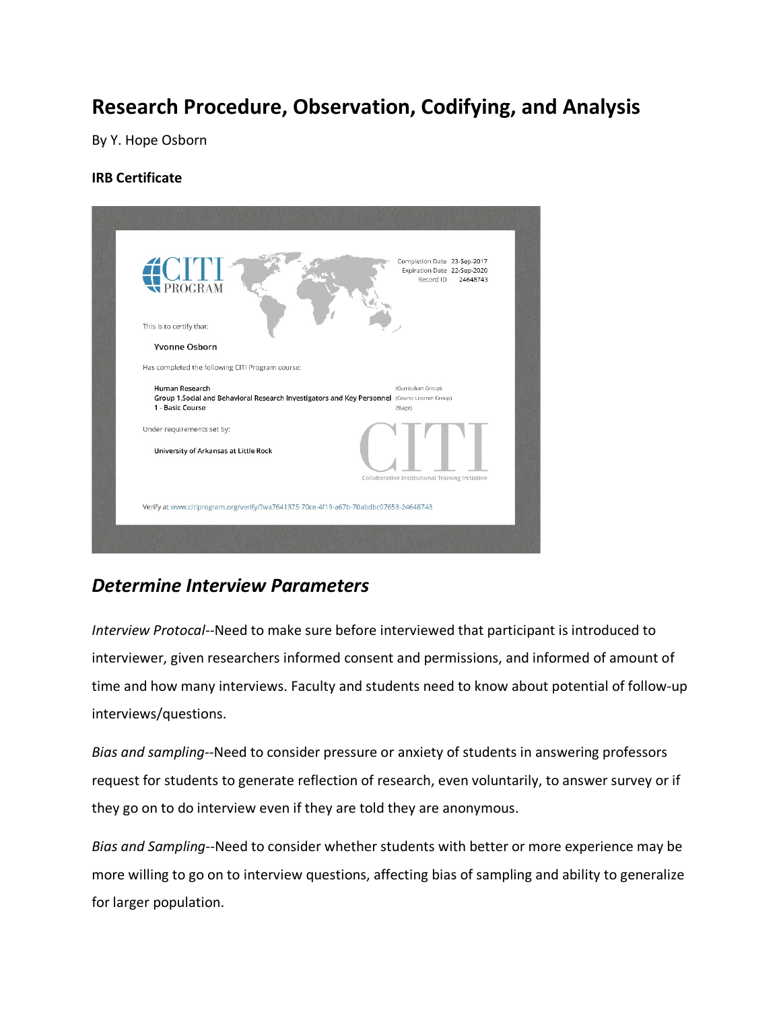# **Research Procedure, Observation, Codifying, and Analysis**

By Y. Hope Osborn

#### **IRB Certificate**



### *Determine Interview Parameters*

*Interview Protocal*--Need to make sure before interviewed that participant is introduced to interviewer, given researchers informed consent and permissions, and informed of amount of time and how many interviews. Faculty and students need to know about potential of follow-up interviews/questions.

*Bias and sampling*--Need to consider pressure or anxiety of students in answering professors request for students to generate reflection of research, even voluntarily, to answer survey or if they go on to do interview even if they are told they are anonymous.

*Bias and Sampling*--Need to consider whether students with better or more experience may be more willing to go on to interview questions, affecting bias of sampling and ability to generalize for larger population.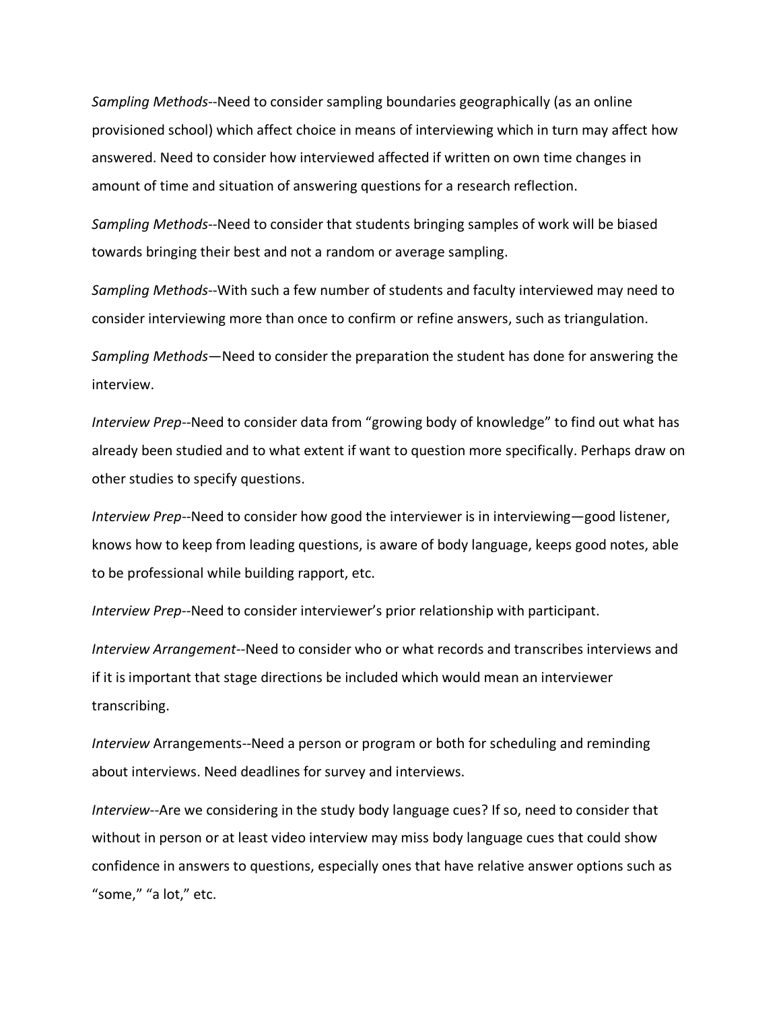*Sampling Methods*--Need to consider sampling boundaries geographically (as an online provisioned school) which affect choice in means of interviewing which in turn may affect how answered. Need to consider how interviewed affected if written on own time changes in amount of time and situation of answering questions for a research reflection.

*Sampling Methods*--Need to consider that students bringing samples of work will be biased towards bringing their best and not a random or average sampling.

*Sampling Methods*--With such a few number of students and faculty interviewed may need to consider interviewing more than once to confirm or refine answers, such as triangulation.

*Sampling Methods*—Need to consider the preparation the student has done for answering the interview.

*Interview Prep*--Need to consider data from "growing body of knowledge" to find out what has already been studied and to what extent if want to question more specifically. Perhaps draw on other studies to specify questions.

*Interview Prep*--Need to consider how good the interviewer is in interviewing—good listener, knows how to keep from leading questions, is aware of body language, keeps good notes, able to be professional while building rapport, etc.

*Interview Prep*--Need to consider interviewer's prior relationship with participant.

*Interview Arrangement*--Need to consider who or what records and transcribes interviews and if it is important that stage directions be included which would mean an interviewer transcribing.

*Interview* Arrangements--Need a person or program or both for scheduling and reminding about interviews. Need deadlines for survey and interviews.

*Interview*--Are we considering in the study body language cues? If so, need to consider that without in person or at least video interview may miss body language cues that could show confidence in answers to questions, especially ones that have relative answer options such as "some," "a lot," etc.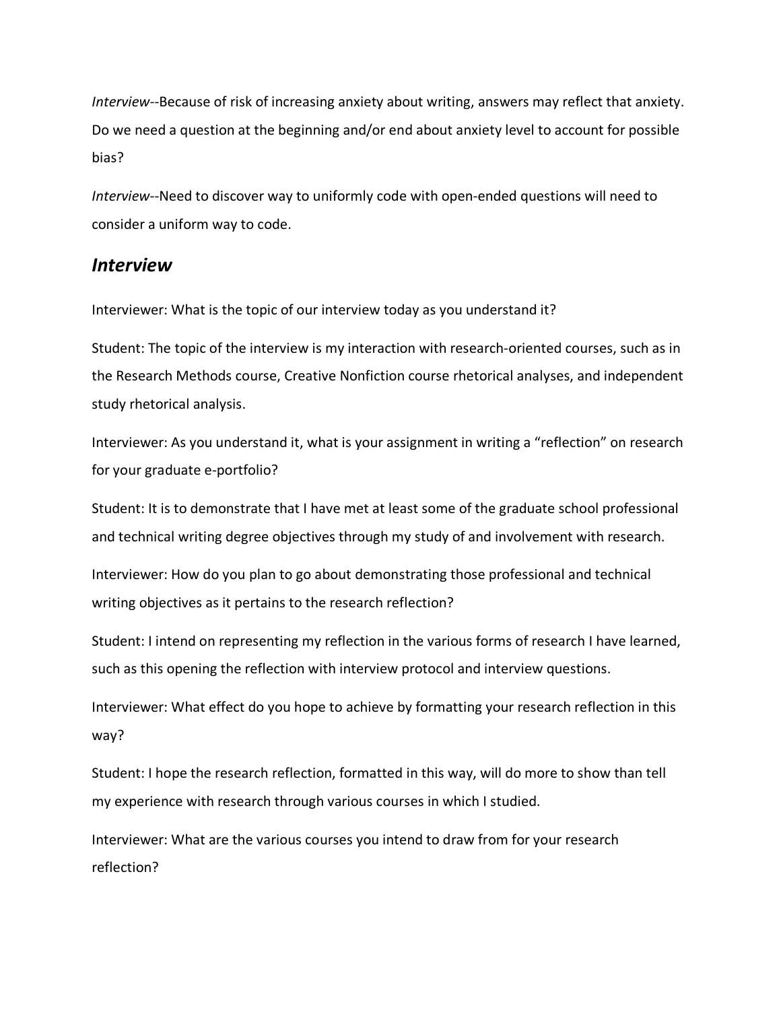*Interview*--Because of risk of increasing anxiety about writing, answers may reflect that anxiety. Do we need a question at the beginning and/or end about anxiety level to account for possible bias?

*Interview*--Need to discover way to uniformly code with open-ended questions will need to consider a uniform way to code.

#### *Interview*

Interviewer: What is the topic of our interview today as you understand it?

Student: The topic of the interview is my interaction with research-oriented courses, such as in the Research Methods course, Creative Nonfiction course rhetorical analyses, and independent study rhetorical analysis.

Interviewer: As you understand it, what is your assignment in writing a "reflection" on research for your graduate e-portfolio?

Student: It is to demonstrate that I have met at least some of the graduate school professional and technical writing degree objectives through my study of and involvement with research.

Interviewer: How do you plan to go about demonstrating those professional and technical writing objectives as it pertains to the research reflection?

Student: I intend on representing my reflection in the various forms of research I have learned, such as this opening the reflection with interview protocol and interview questions.

Interviewer: What effect do you hope to achieve by formatting your research reflection in this way?

Student: I hope the research reflection, formatted in this way, will do more to show than tell my experience with research through various courses in which I studied.

Interviewer: What are the various courses you intend to draw from for your research reflection?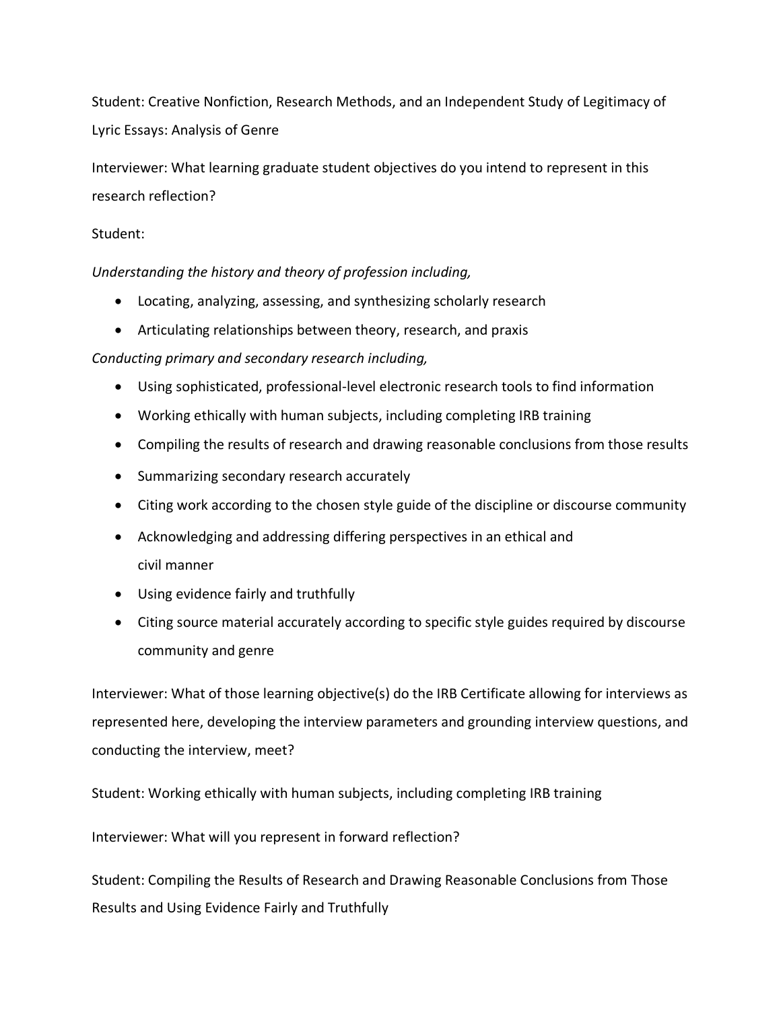Student: Creative Nonfiction, Research Methods, and an Independent Study of Legitimacy of Lyric Essays: Analysis of Genre

Interviewer: What learning graduate student objectives do you intend to represent in this research reflection?

#### Student:

*Understanding the history and theory of profession including,*

- Locating, analyzing, assessing, and synthesizing scholarly research
- Articulating relationships between theory, research, and praxis

#### *Conducting primary and secondary research including,*

- Using sophisticated, professional-level electronic research tools to find information
- Working ethically with human subjects, including completing IRB training
- Compiling the results of research and drawing reasonable conclusions from those results
- Summarizing secondary research accurately
- Citing work according to the chosen style guide of the discipline or discourse community
- Acknowledging and addressing differing perspectives in an ethical and civil manner
- Using evidence fairly and truthfully
- Citing source material accurately according to specific style guides required by discourse community and genre

Interviewer: What of those learning objective(s) do the IRB Certificate allowing for interviews as represented here, developing the interview parameters and grounding interview questions, and conducting the interview, meet?

Student: Working ethically with human subjects, including completing IRB training

Interviewer: What will you represent in forward reflection?

Student: Compiling the Results of Research and Drawing Reasonable Conclusions from Those Results and Using Evidence Fairly and Truthfully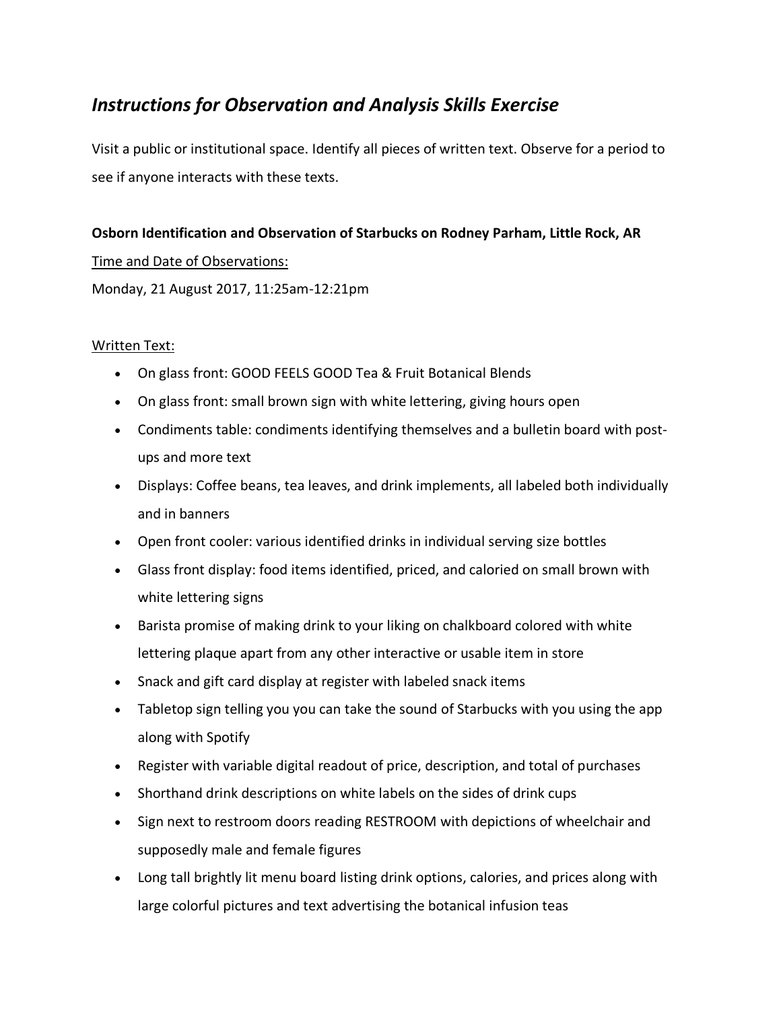### *Instructions for Observation and Analysis Skills Exercise*

Visit a public or institutional space. Identify all pieces of written text. Observe for a period to see if anyone interacts with these texts.

#### **Osborn Identification and Observation of Starbucks on Rodney Parham, Little Rock, AR**

#### Time and Date of Observations:

Monday, 21 August 2017, 11:25am-12:21pm

#### Written Text:

- On glass front: GOOD FEELS GOOD Tea & Fruit Botanical Blends
- On glass front: small brown sign with white lettering, giving hours open
- Condiments table: condiments identifying themselves and a bulletin board with postups and more text
- Displays: Coffee beans, tea leaves, and drink implements, all labeled both individually and in banners
- Open front cooler: various identified drinks in individual serving size bottles
- Glass front display: food items identified, priced, and caloried on small brown with white lettering signs
- Barista promise of making drink to your liking on chalkboard colored with white lettering plaque apart from any other interactive or usable item in store
- Snack and gift card display at register with labeled snack items
- Tabletop sign telling you you can take the sound of Starbucks with you using the app along with Spotify
- Register with variable digital readout of price, description, and total of purchases
- Shorthand drink descriptions on white labels on the sides of drink cups
- Sign next to restroom doors reading RESTROOM with depictions of wheelchair and supposedly male and female figures
- Long tall brightly lit menu board listing drink options, calories, and prices along with large colorful pictures and text advertising the botanical infusion teas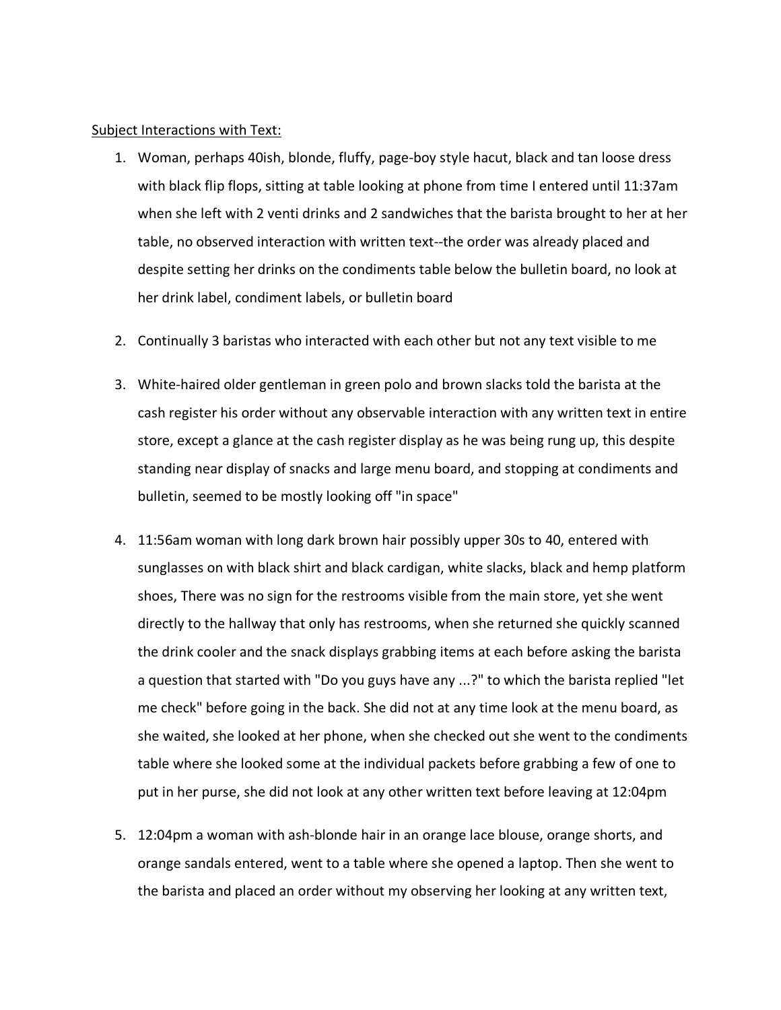#### Subject Interactions with Text:

- 1. Woman, perhaps 40ish, blonde, fluffy, page-boy style hacut, black and tan loose dress with black flip flops, sitting at table looking at phone from time I entered until 11:37am when she left with 2 venti drinks and 2 sandwiches that the barista brought to her at her table, no observed interaction with written text--the order was already placed and despite setting her drinks on the condiments table below the bulletin board, no look at her drink label, condiment labels, or bulletin board
- 2. Continually 3 baristas who interacted with each other but not any text visible to me
- 3. White-haired older gentleman in green polo and brown slacks told the barista at the cash register his order without any observable interaction with any written text in entire store, except a glance at the cash register display as he was being rung up, this despite standing near display of snacks and large menu board, and stopping at condiments and bulletin, seemed to be mostly looking off "in space"
- 4. 11:56am woman with long dark brown hair possibly upper 30s to 40, entered with sunglasses on with black shirt and black cardigan, white slacks, black and hemp platform shoes, There was no sign for the restrooms visible from the main store, yet she went directly to the hallway that only has restrooms, when she returned she quickly scanned the drink cooler and the snack displays grabbing items at each before asking the barista a question that started with "Do you guys have any ...?" to which the barista replied "let me check" before going in the back. She did not at any time look at the menu board, as she waited, she looked at her phone, when she checked out she went to the condiments table where she looked some at the individual packets before grabbing a few of one to put in her purse, she did not look at any other written text before leaving at 12:04pm
- 5. 12:04pm a woman with ash-blonde hair in an orange lace blouse, orange shorts, and orange sandals entered, went to a table where she opened a laptop. Then she went to the barista and placed an order without my observing her looking at any written text,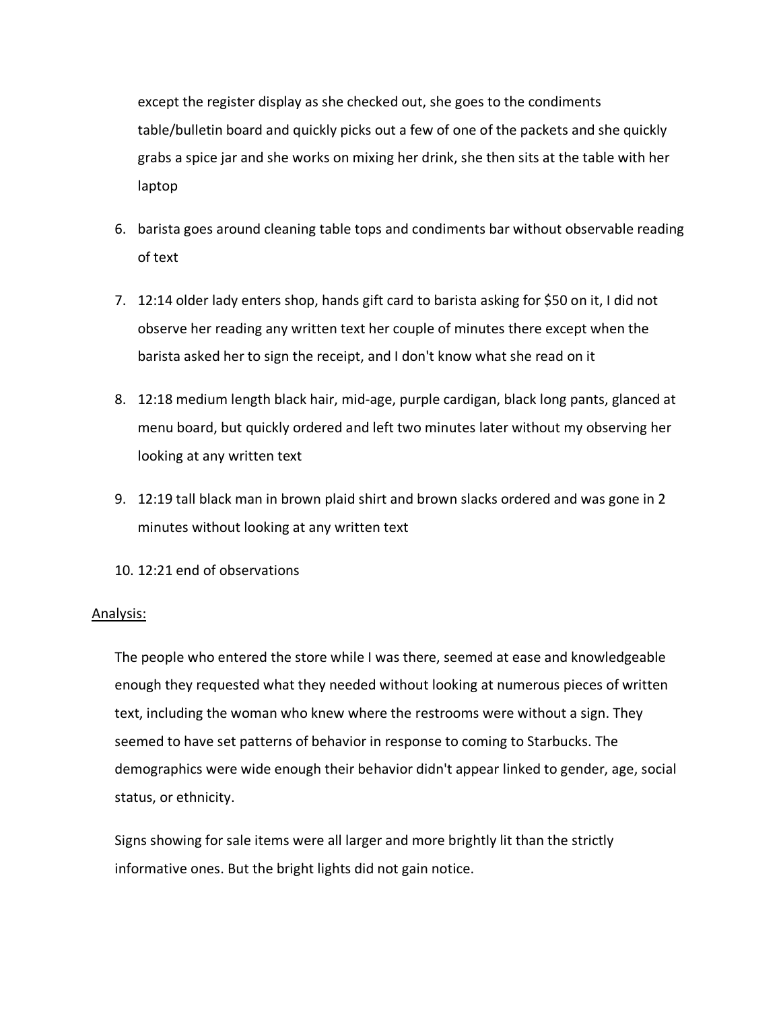except the register display as she checked out, she goes to the condiments table/bulletin board and quickly picks out a few of one of the packets and she quickly grabs a spice jar and she works on mixing her drink, she then sits at the table with her laptop

- 6. barista goes around cleaning table tops and condiments bar without observable reading of text
- 7. 12:14 older lady enters shop, hands gift card to barista asking for \$50 on it, I did not observe her reading any written text her couple of minutes there except when the barista asked her to sign the receipt, and I don't know what she read on it
- 8. 12:18 medium length black hair, mid-age, purple cardigan, black long pants, glanced at menu board, but quickly ordered and left two minutes later without my observing her looking at any written text
- 9. 12:19 tall black man in brown plaid shirt and brown slacks ordered and was gone in 2 minutes without looking at any written text
- 10. 12:21 end of observations

#### Analysis:

The people who entered the store while I was there, seemed at ease and knowledgeable enough they requested what they needed without looking at numerous pieces of written text, including the woman who knew where the restrooms were without a sign. They seemed to have set patterns of behavior in response to coming to Starbucks. The demographics were wide enough their behavior didn't appear linked to gender, age, social status, or ethnicity.

Signs showing for sale items were all larger and more brightly lit than the strictly informative ones. But the bright lights did not gain notice.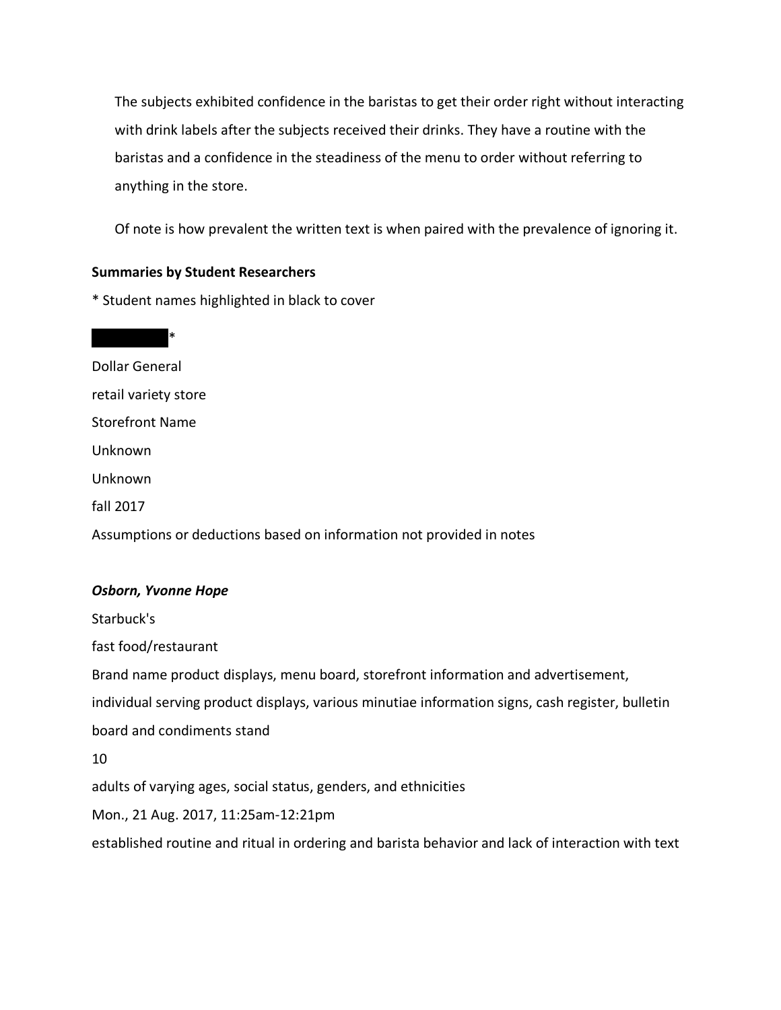The subjects exhibited confidence in the baristas to get their order right without interacting with drink labels after the subjects received their drinks. They have a routine with the baristas and a confidence in the steadiness of the menu to order without referring to anything in the store.

Of note is how prevalent the written text is when paired with the prevalence of ignoring it.

#### **Summaries by Student Researchers**

\* Student names highlighted in black to cover

 $\overline{\phantom{0}}$ Dollar General retail variety store Storefront Name Unknown Unknown fall 2017 Assumptions or deductions based on information not provided in notes *Osborn, Yvonne Hope* Starbuck's fast food/restaurant

Brand name product displays, menu board, storefront information and advertisement, individual serving product displays, various minutiae information signs, cash register, bulletin board and condiments stand

10

adults of varying ages, social status, genders, and ethnicities

Mon., 21 Aug. 2017, 11:25am-12:21pm

established routine and ritual in ordering and barista behavior and lack of interaction with text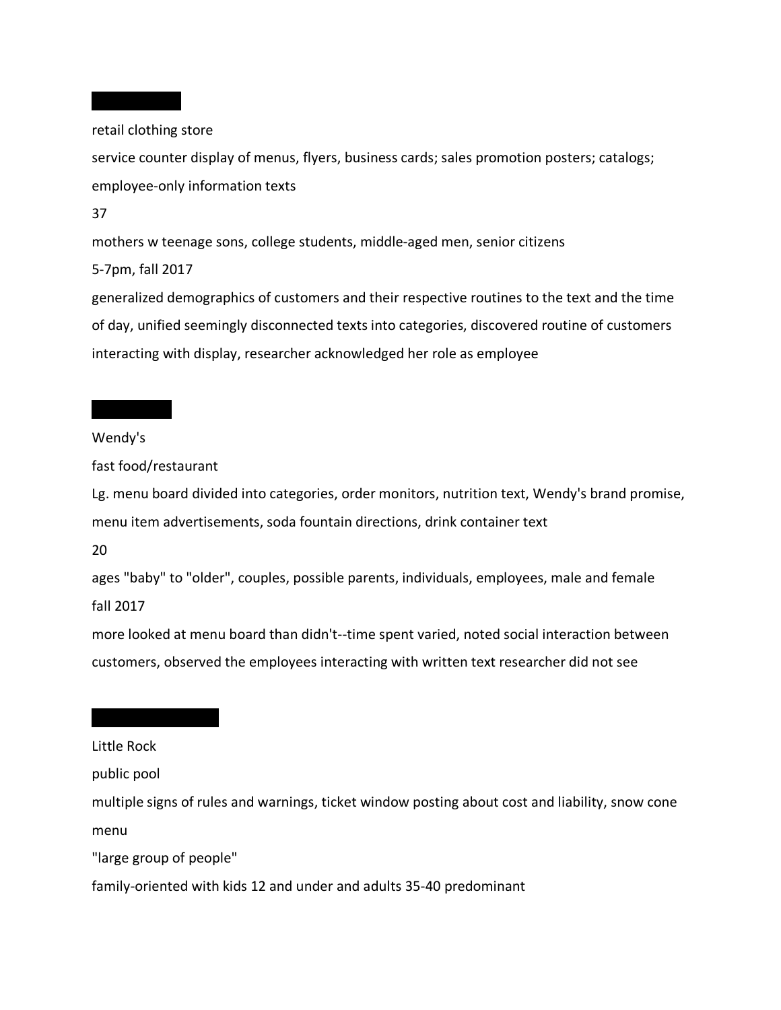retail clothing store

service counter display of menus, flyers, business cards; sales promotion posters; catalogs; employee-only information texts

37

mothers w teenage sons, college students, middle-aged men, senior citizens

5-7pm, fall 2017

generalized demographics of customers and their respective routines to the text and the time of day, unified seemingly disconnected texts into categories, discovered routine of customers interacting with display, researcher acknowledged her role as employee

Wendy's

fast food/restaurant

Lg. menu board divided into categories, order monitors, nutrition text, Wendy's brand promise, menu item advertisements, soda fountain directions, drink container text

20

ages "baby" to "older", couples, possible parents, individuals, employees, male and female fall 2017

more looked at menu board than didn't--time spent varied, noted social interaction between customers, observed the employees interacting with written text researcher did not see

#### Little Rock

public pool

multiple signs of rules and warnings, ticket window posting about cost and liability, snow cone menu

"large group of people"

family-oriented with kids 12 and under and adults 35-40 predominant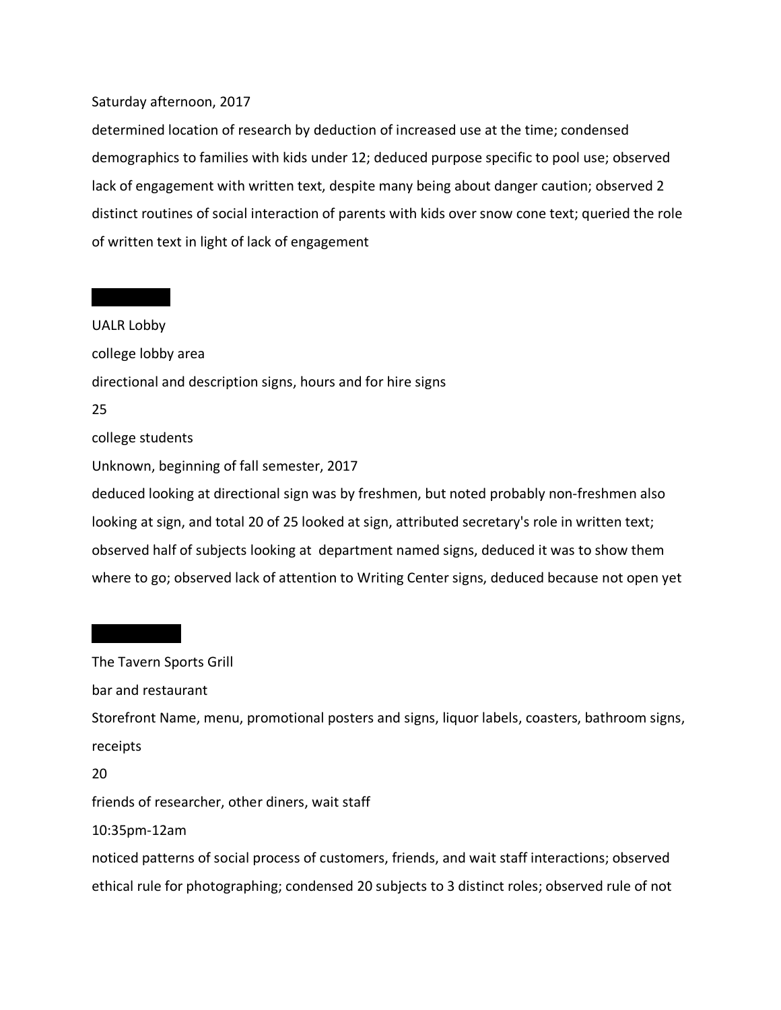#### Saturday afternoon, 2017

determined location of research by deduction of increased use at the time; condensed demographics to families with kids under 12; deduced purpose specific to pool use; observed lack of engagement with written text, despite many being about danger caution; observed 2 distinct routines of social interaction of parents with kids over snow cone text; queried the role of written text in light of lack of engagement

UALR Lobby college lobby area directional and description signs, hours and for hire signs 25 college students Unknown, beginning of fall semester, 2017 deduced looking at directional sign was by freshmen, but noted probably non-freshmen also looking at sign, and total 20 of 25 looked at sign, attributed secretary's role in written text; observed half of subjects looking at department named signs, deduced it was to show them where to go; observed lack of attention to Writing Center signs, deduced because not open yet

# The Tavern Sports Grill

bar and restaurant

Storefront Name, menu, promotional posters and signs, liquor labels, coasters, bathroom signs, receipts

20

friends of researcher, other diners, wait staff

10:35pm-12am

noticed patterns of social process of customers, friends, and wait staff interactions; observed ethical rule for photographing; condensed 20 subjects to 3 distinct roles; observed rule of not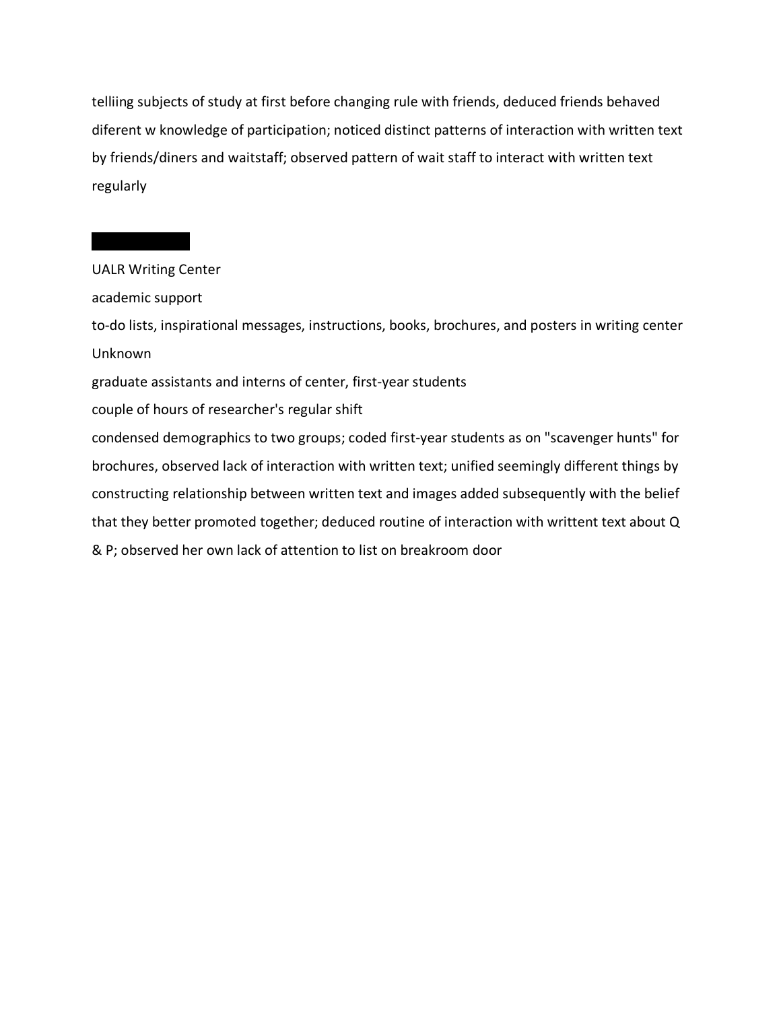telliing subjects of study at first before changing rule with friends, deduced friends behaved diferent w knowledge of participation; noticed distinct patterns of interaction with written text by friends/diners and waitstaff; observed pattern of wait staff to interact with written text regularly

### UALR Writing Center

academic support

to-do lists, inspirational messages, instructions, books, brochures, and posters in writing center Unknown

graduate assistants and interns of center, first-year students

couple of hours of researcher's regular shift

condensed demographics to two groups; coded first-year students as on "scavenger hunts" for brochures, observed lack of interaction with written text; unified seemingly different things by constructing relationship between written text and images added subsequently with the belief that they better promoted together; deduced routine of interaction with writtent text about Q & P; observed her own lack of attention to list on breakroom door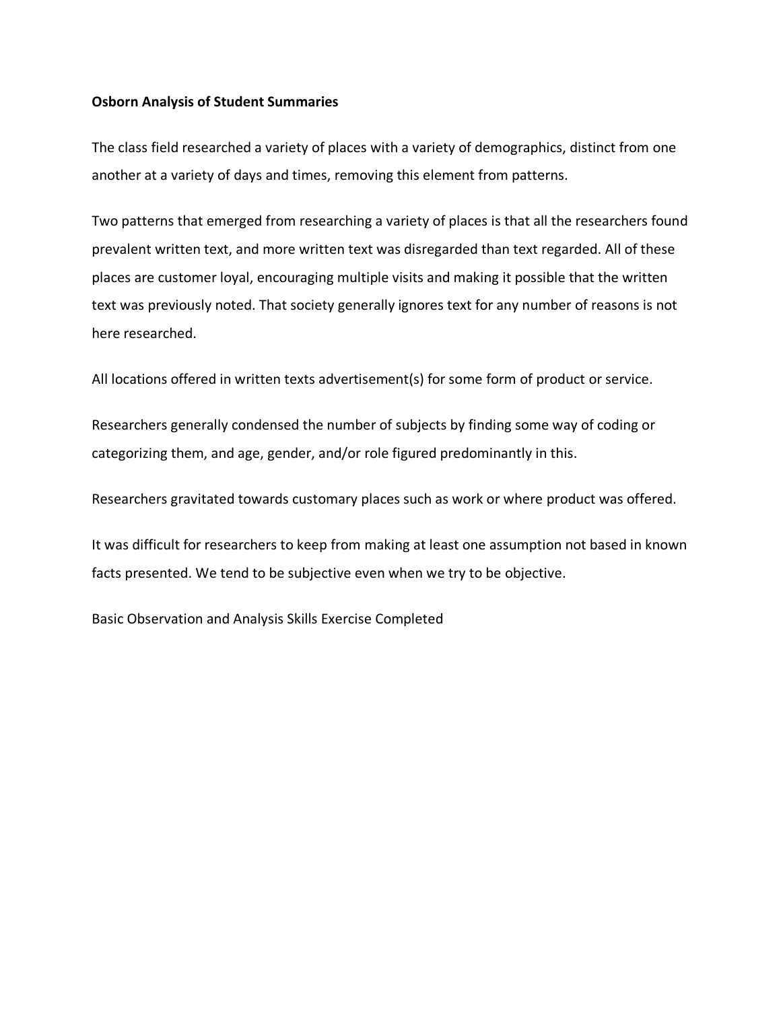#### **Osborn Analysis of Student Summaries**

The class field researched a variety of places with a variety of demographics, distinct from one another at a variety of days and times, removing this element from patterns.

Two patterns that emerged from researching a variety of places is that all the researchers found prevalent written text, and more written text was disregarded than text regarded. All of these places are customer loyal, encouraging multiple visits and making it possible that the written text was previously noted. That society generally ignores text for any number of reasons is not here researched.

All locations offered in written texts advertisement(s) for some form of product or service.

Researchers generally condensed the number of subjects by finding some way of coding or categorizing them, and age, gender, and/or role figured predominantly in this.

Researchers gravitated towards customary places such as work or where product was offered.

It was difficult for researchers to keep from making at least one assumption not based in known facts presented. We tend to be subjective even when we try to be objective.

Basic Observation and Analysis Skills Exercise Completed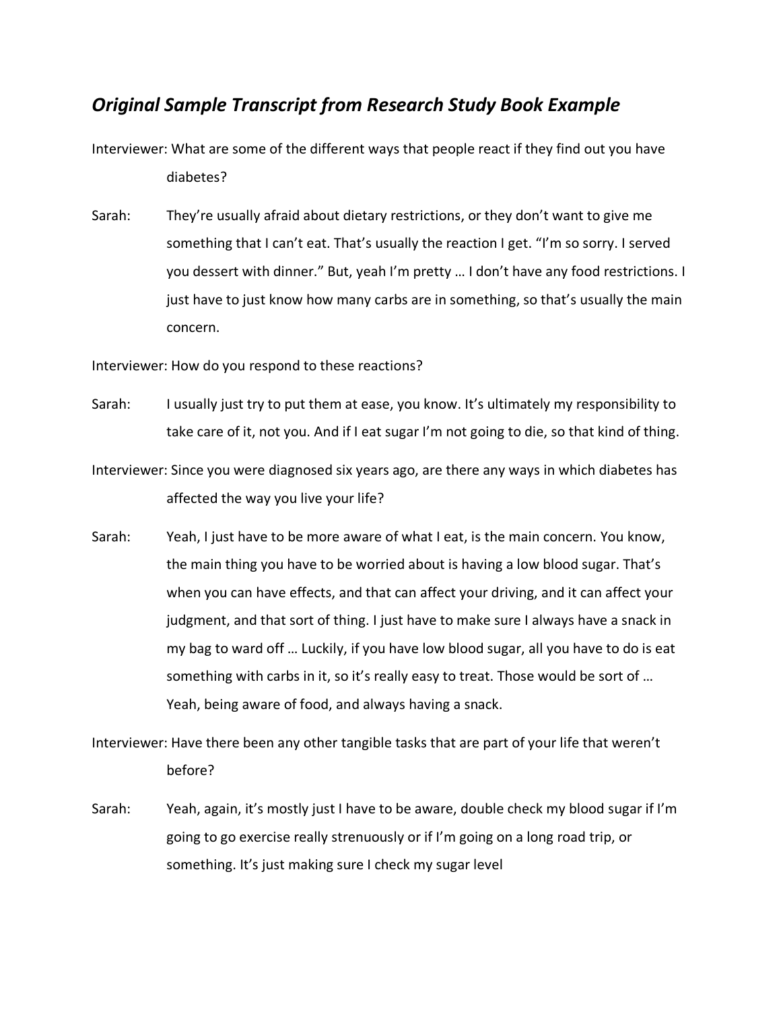## *Original Sample Transcript from Research Study Book Example*

Interviewer: What are some of the different ways that people react if they find out you have diabetes?

Sarah: They're usually afraid about dietary restrictions, or they don't want to give me something that I can't eat. That's usually the reaction I get. "I'm so sorry. I served you dessert with dinner." But, yeah I'm pretty … I don't have any food restrictions. I just have to just know how many carbs are in something, so that's usually the main concern.

Interviewer: How do you respond to these reactions?

- Sarah: I usually just try to put them at ease, you know. It's ultimately my responsibility to take care of it, not you. And if I eat sugar I'm not going to die, so that kind of thing.
- Interviewer: Since you were diagnosed six years ago, are there any ways in which diabetes has affected the way you live your life?
- Sarah: Yeah, I just have to be more aware of what I eat, is the main concern. You know, the main thing you have to be worried about is having a low blood sugar. That's when you can have effects, and that can affect your driving, and it can affect your judgment, and that sort of thing. I just have to make sure I always have a snack in my bag to ward off … Luckily, if you have low blood sugar, all you have to do is eat something with carbs in it, so it's really easy to treat. Those would be sort of ... Yeah, being aware of food, and always having a snack.

Interviewer: Have there been any other tangible tasks that are part of your life that weren't before?

Sarah: Yeah, again, it's mostly just I have to be aware, double check my blood sugar if I'm going to go exercise really strenuously or if I'm going on a long road trip, or something. It's just making sure I check my sugar level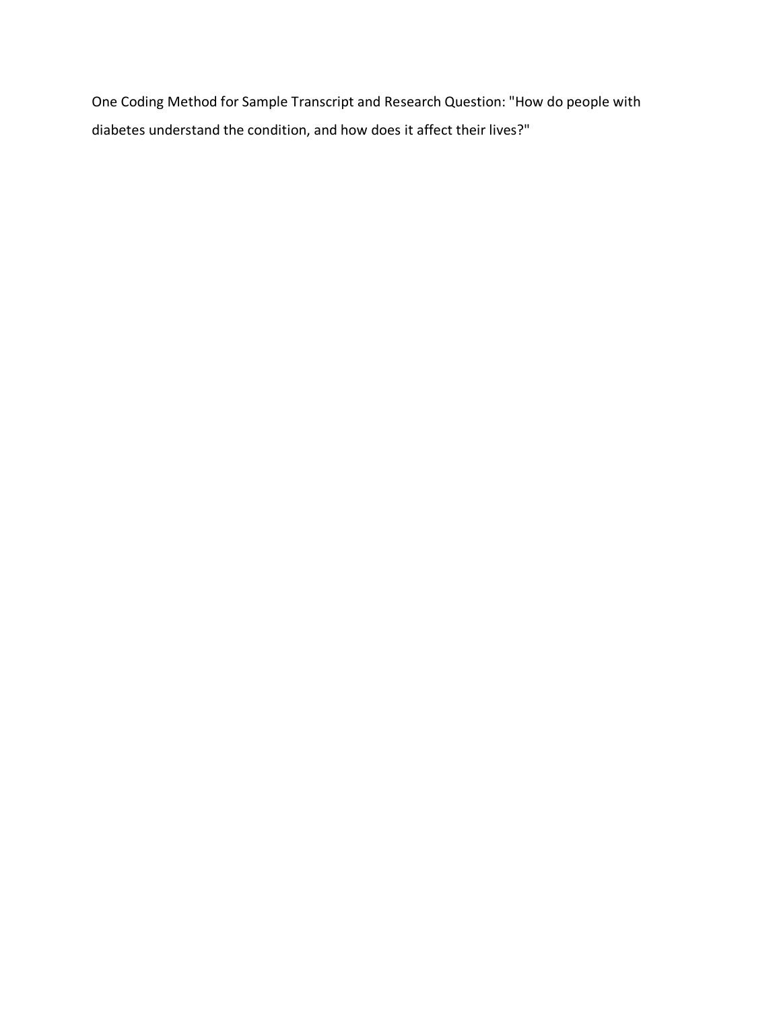One Coding Method for Sample Transcript and Research Question: "How do people with diabetes understand the condition, and how does it affect their lives?"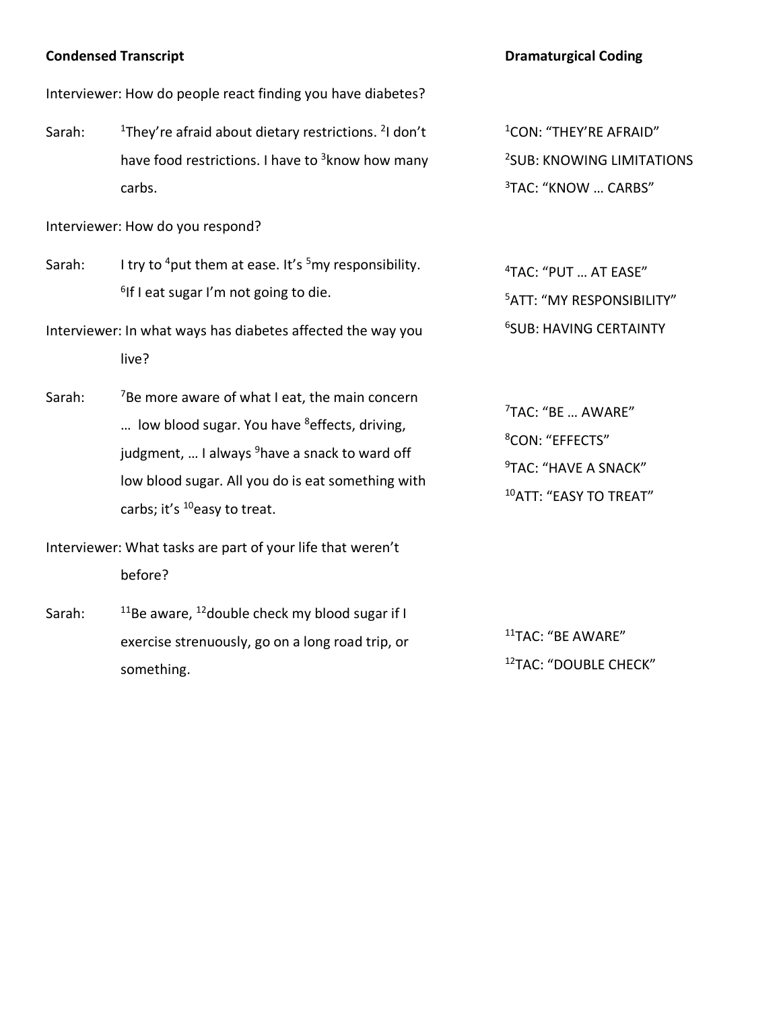#### **Condensed Transcript**

#### Interviewer: How do people react finding you have diabetes?

Sarah: <sup>1</sup>They're afraid about dietary restrictions. <sup>2</sup>I don't have food restrictions. I have to <sup>3</sup>know how many carbs.

Interviewer: How do you respond?

- Sarah: I try to <sup>4</sup>put them at ease. It's  $5$ my responsibility.  $6$ If I eat sugar I'm not going to die.
- Interviewer: In what ways has diabetes affected the way you live?
- Sarah:  $<sup>7</sup>$ Be more aware of what I eat, the main concern</sup> ... low blood sugar. You have  $8$  effects, driving, judgment, ... I always <sup>9</sup>have a snack to ward off low blood sugar. All you do is eat something with carbs; it's <sup>10</sup>easy to treat.
- Interviewer: What tasks are part of your life that weren't before?
- Sarah:  $11B$ e aware,  $12$ double check my blood sugar if I exercise strenuously, go on a long road trip, or something.

#### **Dramaturgical Coding**

1CON: "THEY'RE AFRAID" 2 SUB: KNOWING LIMITATIONS 3TAC: "KNOW … CARBS"

4 TAC: "PUT … AT EASE" 5ATT: "MY RESPONSIBILITY" 6 SUB: HAVING CERTAINTY

7 TAC: "BE … AWARE" 8 CON: "EFFECTS" <sup>9</sup>TAC: "HAVE A SNACK" 10ATT: "EASY TO TREAT"

11TAC: "BE AWARE" 12TAC: "DOUBLE CHECK"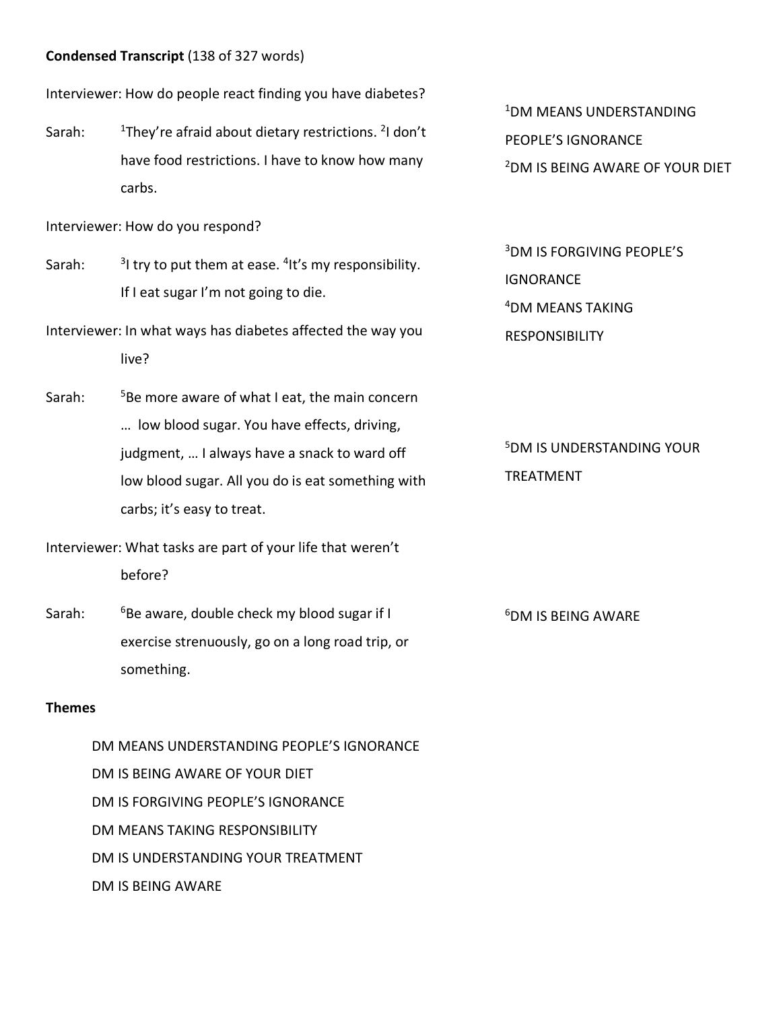#### **Condensed Transcript** (138 of 327 words)

Interviewer: How do people react finding you have diabetes?

Sarah: <sup>1</sup>They're afraid about dietary restrictions. <sup>2</sup>I don't have food restrictions. I have to know how many carbs.

Interviewer: How do you respond?

- Sarah:  $31$  try to put them at ease.  $4$ It's my responsibility. If I eat sugar I'm not going to die.
- Interviewer: In what ways has diabetes affected the way you live?
- Sarah: <sup>5</sup>Be more aware of what I eat, the main concern … low blood sugar. You have effects, driving, judgment, … I always have a snack to ward off low blood sugar. All you do is eat something with carbs; it's easy to treat.
- Interviewer: What tasks are part of your life that weren't before?
- Sarah:  $6B$ e aware, double check my blood sugar if I exercise strenuously, go on a long road trip, or something.

#### **Themes**

DM MEANS UNDERSTANDING PEOPLE'S IGNORANCE DM IS BEING AWARE OF YOUR DIET DM IS FORGIVING PEOPLE'S IGNORANCE DM MEANS TAKING RESPONSIBILITY DM IS UNDERSTANDING YOUR TREATMENT DM IS BEING AWARE

1DM MEANS UNDERSTANDING PEOPLE'S IGNORANCE 2 DM IS BEING AWARE OF YOUR DIET

3 DM IS FORGIVING PEOPLE'S **IGNORANCE** 4DM MEANS TAKING **RESPONSIBILITY** 

5 DM IS UNDERSTANDING YOUR TREATMENT

6 DM IS BEING AWARE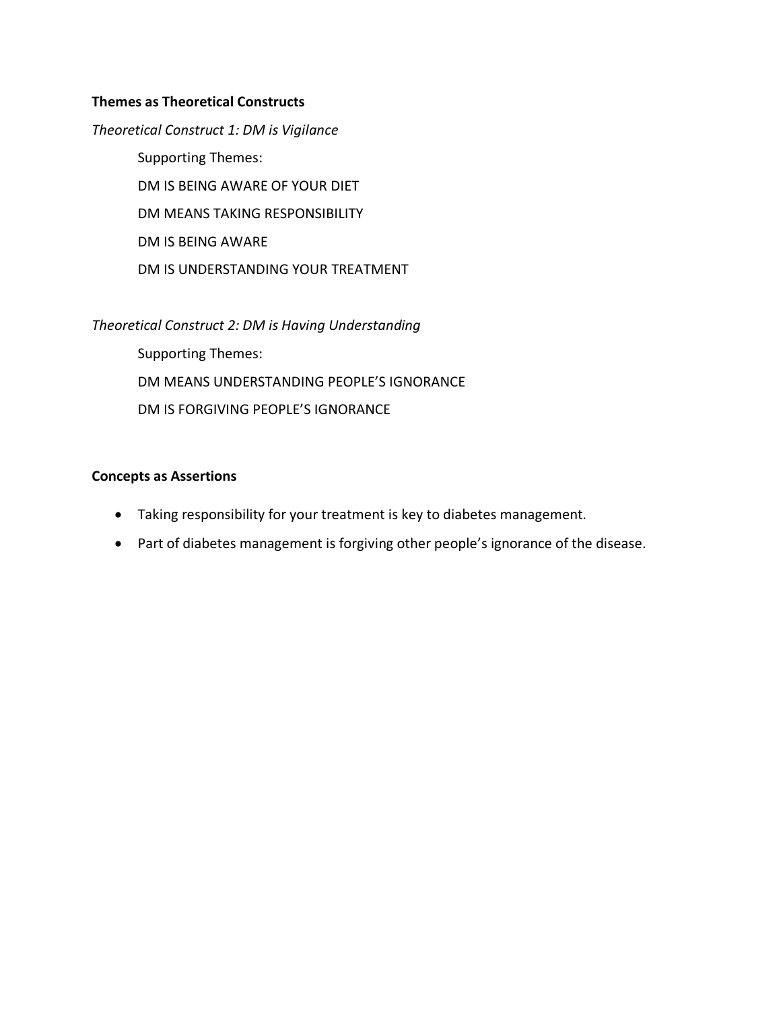#### **Themes as Theoretical Constructs**

*Theoretical Construct 1: DM is Vigilance* Supporting Themes: DM IS BEING AWARE OF YOUR DIET DM MEANS TAKING RESPONSIBILITY DM IS BEING AWARE DM IS UNDERSTANDING YOUR TREATMENT

*Theoretical Construct 2: DM is Having Understanding* Supporting Themes: DM MEANS UNDERSTANDING PEOPLE'S IGNORANCE DM IS FORGIVING PEOPLE'S IGNORANCE

#### **Concepts as Assertions**

- Taking responsibility for your treatment is key to diabetes management.
- Part of diabetes management is forgiving other people's ignorance of the disease.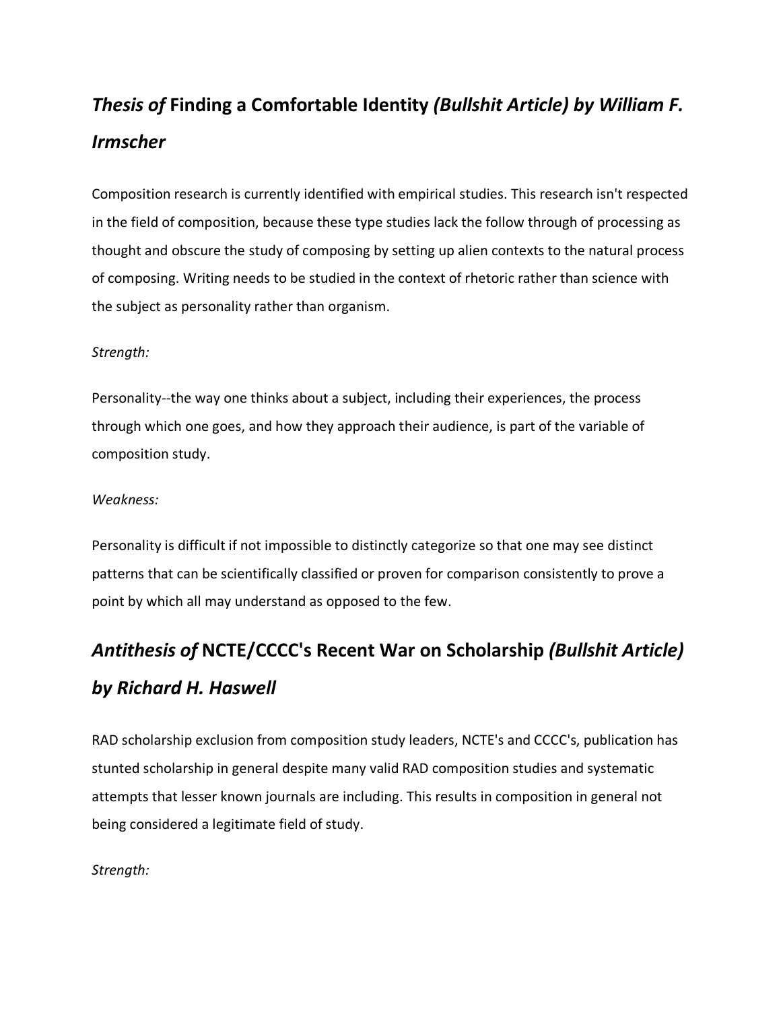# *Thesis of* **Finding a Comfortable Identity** *(Bullshit Article) by William F. Irmscher*

Composition research is currently identified with empirical studies. This research isn't respected in the field of composition, because these type studies lack the follow through of processing as thought and obscure the study of composing by setting up alien contexts to the natural process of composing. Writing needs to be studied in the context of rhetoric rather than science with the subject as personality rather than organism.

#### *Strength:*

Personality--the way one thinks about a subject, including their experiences, the process through which one goes, and how they approach their audience, is part of the variable of composition study.

#### *Weakness:*

Personality is difficult if not impossible to distinctly categorize so that one may see distinct patterns that can be scientifically classified or proven for comparison consistently to prove a point by which all may understand as opposed to the few.

# *Antithesis of* **NCTE/CCCC's Recent War on Scholarship** *(Bullshit Article) by Richard H. Haswell*

RAD scholarship exclusion from composition study leaders, NCTE's and CCCC's, publication has stunted scholarship in general despite many valid RAD composition studies and systematic attempts that lesser known journals are including. This results in composition in general not being considered a legitimate field of study.

#### *Strength:*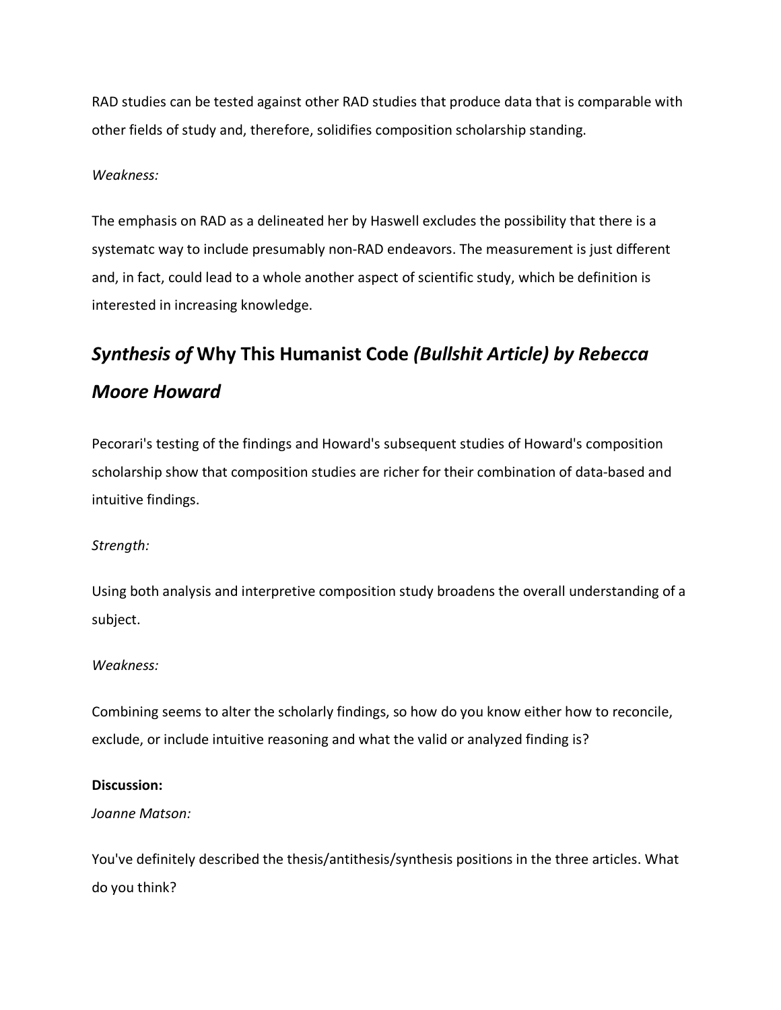RAD studies can be tested against other RAD studies that produce data that is comparable with other fields of study and, therefore, solidifies composition scholarship standing.

#### *Weakness:*

The emphasis on RAD as a delineated her by Haswell excludes the possibility that there is a systematc way to include presumably non-RAD endeavors. The measurement is just different and, in fact, could lead to a whole another aspect of scientific study, which be definition is interested in increasing knowledge.

# *Synthesis of* **Why This Humanist Code** *(Bullshit Article) by Rebecca Moore Howard*

Pecorari's testing of the findings and Howard's subsequent studies of Howard's composition scholarship show that composition studies are richer for their combination of data-based and intuitive findings.

#### *Strength:*

Using both analysis and interpretive composition study broadens the overall understanding of a subject.

#### *Weakness:*

Combining seems to alter the scholarly findings, so how do you know either how to reconcile, exclude, or include intuitive reasoning and what the valid or analyzed finding is?

#### **Discussion:**

#### *Joanne Matson:*

You've definitely described the thesis/antithesis/synthesis positions in the three articles. What do you think?